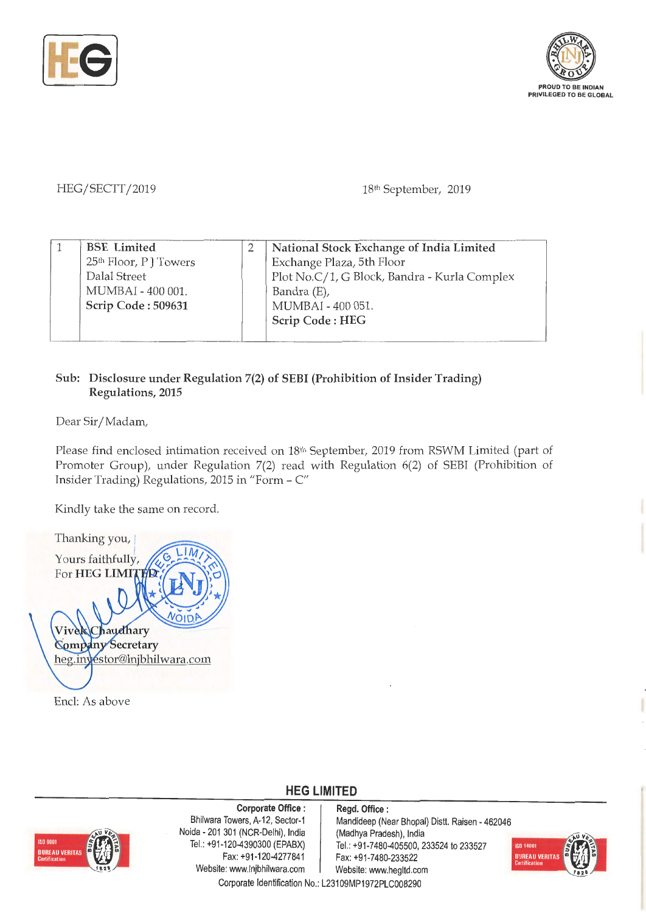



## HEG/ SECTT/ 2019

18<sup>th</sup> September, 2019

| <b>BSE</b> Limited                 | National Stock Exchange of India Limited     |
|------------------------------------|----------------------------------------------|
| 25 <sup>th</sup> Floor, P J Towers | Exchange Plaza, 5th Floor                    |
| Dalal Street                       | Plot No.C/1, G Block, Bandra - Kurla Complex |
| MUMBAI - 400 001.                  | Bandra (E),                                  |
| Scrip Code: 509631                 | MUMBAI - 400 051.                            |
|                                    | Scrip Code: HEG                              |
|                                    |                                              |

## **Sub: Disclosure under Regulation 7(2) of SEBI (Prohibition of Insider Trading) Regulations, 2015**

Dear Sir/ Madam,

Please find enclosed intimation received on 18<sup>th</sup> September, 2019 from RSWM Limited (part of Promoter Group), under Regulation 7(2) read with Regulation 6(2) of SEBI (Prohibition of Insider Trading) Regulations, 2015 in "Form - C"

Kindly take the same on record.

Thanking you, Yours faithfully, For **HEG LIMI** Chaudhary Vive **Company Secretary** heg.inyestor@lnjbhilwara.com

Encl: As above



**Corporate Office** : Bhilwara Towers, A-12, Sector-1 Noida - 201 301 (NCR-Delhi), India Tel.: +91-120-4390300 (EPABX) Fax:+91-120-4277841 Website: www.lnjbhilwara.com | Website: www.hegltd.com

**Regd. Office** : Mandideep (Near Bhopal) Distt. Raisen - 462046 (Madhya Pradesh), India Tel.: +91-7480-405500, 233524 to 233527 Fax: +91-7480-233522



Corporate Identification No.: L23109MP1972PLC008290

**HEG LIMITED**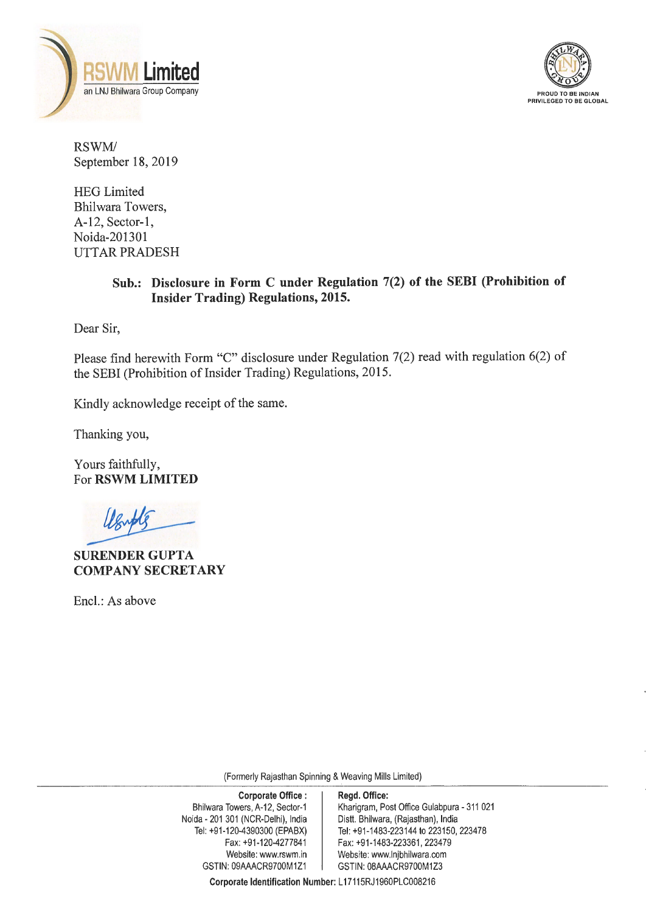



RSWM/ September 18, 2019

HEG Limited Bhilwara Towers, A-12, Sector-1, Noida-201301 UTTAR PRADESH

## **Sub.: Disclosure in Form C under Regulation 7(2) of the SEBI (Prohibition of Insider Trading) Regulations, 2015.**

Dear Sir,

Please find herewith Form "C" disclosure under Regulation 7(2) read with regulation 6(2) of the SEBI (Prohibition of Insider Trading) Regulations, 2015.

Kindly acknowledge receipt of the same.

Thanking you,

Yours faithfully, For **RSWM LIMITED** 

**SURENDER GUPTA COMPANY SECRETARY** 

Encl.: As above

(Formerly Rajasthan Spinning & Weaving Mills Limited)

| <b>Corporate Office:</b><br>Bhilwara Towers, A-12, Sector-1<br>Noida - 201 301 (NCR-Delhi), India<br>Tel: +91-120-4390300 (EPABX) | Regd. Office:<br>Kharigram, Post Office Gulabpura - 311 021<br>Distt. Bhilwara, (Rajasthan), India<br>Tel: +91-1483-223144 to 223150, 223478 |  |
|-----------------------------------------------------------------------------------------------------------------------------------|----------------------------------------------------------------------------------------------------------------------------------------------|--|
| Fax: +91-120-4277841<br>Website: www.rswm.in<br>GSTIN: 09AAACR9700M1Z1                                                            | Fax: +91-1483-223361, 223479<br>Website: www.lnjbhilwara.com<br>GSTIN: 08AAACR9700M1Z3                                                       |  |

**Corporate Identification Number:** L 17115RJ1960PLC008216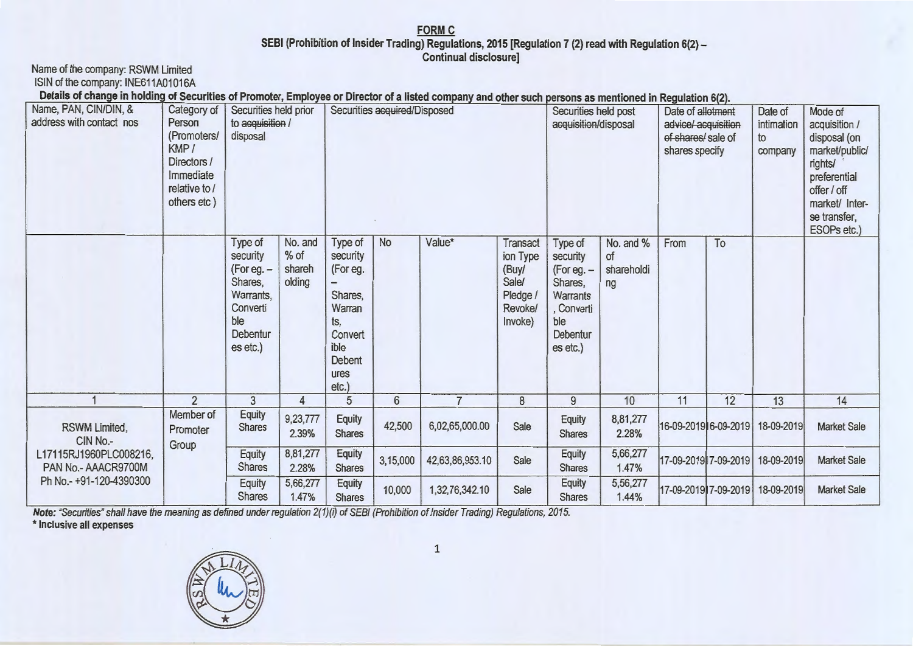## **FORM C** SEBI (Prohibition of Insider Trading) Regulations, 2015 [Regulation 7 (2) read with Regulation 6(2) -<br>Continual disclosure]

| Name of the company: RSWM Limited<br>ISIN of the company: INE611A01016A<br>Details of change in holding of Securities of Promoter, Employee or Director of a listed company and other such persons as mentioned in Regulation 6(2). |                                                                                                          |                                                                                                               |                                       |                                                                                                                  |                |                 |                                                                                 |                                                                                                                |                                     |                                                                                  |                      |                                        |                                                                                                                                                       |
|-------------------------------------------------------------------------------------------------------------------------------------------------------------------------------------------------------------------------------------|----------------------------------------------------------------------------------------------------------|---------------------------------------------------------------------------------------------------------------|---------------------------------------|------------------------------------------------------------------------------------------------------------------|----------------|-----------------|---------------------------------------------------------------------------------|----------------------------------------------------------------------------------------------------------------|-------------------------------------|----------------------------------------------------------------------------------|----------------------|----------------------------------------|-------------------------------------------------------------------------------------------------------------------------------------------------------|
| Name, PAN, CIN/DIN, &<br>address with contact nos                                                                                                                                                                                   | Category of<br>Person<br>(Promoters/<br>KMP/<br>Directors /<br>Immediate<br>relative to /<br>others etc) | Securities held prior<br>to acquisition /<br>disposal                                                         |                                       | Securities acquired/Disposed                                                                                     |                |                 |                                                                                 | Securities held post<br>acquisition/disposal                                                                   |                                     | Date of allotment<br>advice/ acquisition<br>of shares/ sale of<br>shares specify |                      | Date of<br>intimation<br>to<br>company | Mode of<br>acquisition /<br>disposal (on<br>market/public/<br>rights/<br>preferential<br>offer / off<br>market/ Inter-<br>se transfer,<br>ESOPs etc.) |
|                                                                                                                                                                                                                                     |                                                                                                          | Type of<br>security<br>$(For eq. -$<br>Shares,<br>Warrants,<br>Converti<br>ble<br><b>Debentur</b><br>es etc.) | No. and<br>$%$ of<br>shareh<br>olding | Type of<br>security<br>(For eg.<br>Shares,<br>Warran<br>ts,<br>Convert<br>ible<br><b>Debent</b><br>ures<br>etc.) | <b>No</b>      | Value*          | Transact<br>ion Type<br>(Buy/<br><b>Sale/</b><br>Pledge /<br>Revoke/<br>Invoke) | Type of<br>security<br>$(For eq. -$<br>Shares,<br><b>Warrants</b><br>, Converti<br>ble<br>Debentur<br>es etc.) | No. and %<br>of<br>shareholdi<br>ng | From                                                                             | To                   |                                        |                                                                                                                                                       |
|                                                                                                                                                                                                                                     | $\overline{2}$                                                                                           | 3                                                                                                             | 4                                     | $\overline{5}$                                                                                                   | $6\phantom{a}$ | $\overline{7}$  | 8                                                                               | $\overline{9}$                                                                                                 | 10                                  | 11                                                                               | 12                   | 13                                     | 14                                                                                                                                                    |
| RSWM Limited,<br>CIN No.-                                                                                                                                                                                                           | Member of<br>Promoter<br>Group                                                                           | Equity<br><b>Shares</b>                                                                                       | 9,23,777<br>2.39%                     | <b>Equity</b><br><b>Shares</b>                                                                                   | 42,500         | 6,02,65,000.00  | Sale                                                                            | <b>Equity</b><br><b>Shares</b>                                                                                 | 8,81,277<br>2.28%                   |                                                                                  | 16-09-2019 6-09-2019 | 18-09-2019                             | <b>Market Sale</b>                                                                                                                                    |
| L17115RJ1960PLC008216,<br>PAN No.- AAACR9700M                                                                                                                                                                                       |                                                                                                          | Equity<br><b>Shares</b>                                                                                       | 8,81,277<br>2.28%                     | Equity<br><b>Shares</b>                                                                                          | 3,15,000       | 42,63,86,953.10 | Sale                                                                            | <b>Equity</b><br><b>Shares</b>                                                                                 | 5,66,277<br>1.47%                   | 17-09-2019 7-09-2019                                                             |                      | 18-09-2019                             | <b>Market Sale</b>                                                                                                                                    |
| Ph No.- +91-120-4390300                                                                                                                                                                                                             |                                                                                                          | Equity<br><b>Shares</b>                                                                                       | 5,66,277<br>1.47%                     | <b>Equity</b><br><b>Shares</b>                                                                                   | 10,000         | 1,32,76,342.10  | Sale                                                                            | <b>Equity</b><br><b>Shares</b>                                                                                 | 5,56,277<br>1.44%                   | 17-09-2019 7-09-2019                                                             |                      | 18-09-2019                             | <b>Market Sale</b>                                                                                                                                    |

**Note:** "Securities" shall have the meaning as defined under regulation 2(1)(i) of SEBI (Prohibition of Insider Trading) Regulations, 2015.



 $\mathbf 1$